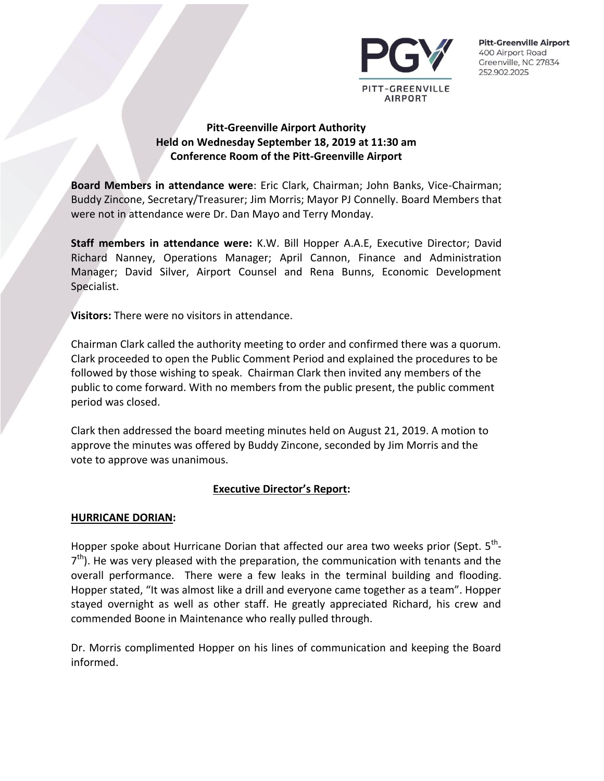

# **Pitt-Greenville Airport Authority Held on Wednesday September 18, 2019 at 11:30 am Conference Room of the Pitt-Greenville Airport**

**Board Members in attendance were**: Eric Clark, Chairman; John Banks, Vice-Chairman; Buddy Zincone, Secretary/Treasurer; Jim Morris; Mayor PJ Connelly. Board Members that were not in attendance were Dr. Dan Mayo and Terry Monday.

**Staff members in attendance were:** K.W. Bill Hopper A.A.E, Executive Director; David Richard Nanney, Operations Manager; April Cannon, Finance and Administration Manager; David Silver, Airport Counsel and Rena Bunns, Economic Development Specialist.

**Visitors:** There were no visitors in attendance.

Chairman Clark called the authority meeting to order and confirmed there was a quorum. Clark proceeded to open the Public Comment Period and explained the procedures to be followed by those wishing to speak. Chairman Clark then invited any members of the public to come forward. With no members from the public present, the public comment period was closed.

Clark then addressed the board meeting minutes held on August 21, 2019. A motion to approve the minutes was offered by Buddy Zincone, seconded by Jim Morris and the vote to approve was unanimous.

# **Executive Director's Report:**

#### **HURRICANE DORIAN:**

Hopper spoke about Hurricane Dorian that affected our area two weeks prior (Sept.  $5^{\text{th}}$ - $7<sup>th</sup>$ ). He was very pleased with the preparation, the communication with tenants and the overall performance. There were a few leaks in the terminal building and flooding. Hopper stated, "It was almost like a drill and everyone came together as a team". Hopper stayed overnight as well as other staff. He greatly appreciated Richard, his crew and commended Boone in Maintenance who really pulled through.

Dr. Morris complimented Hopper on his lines of communication and keeping the Board informed.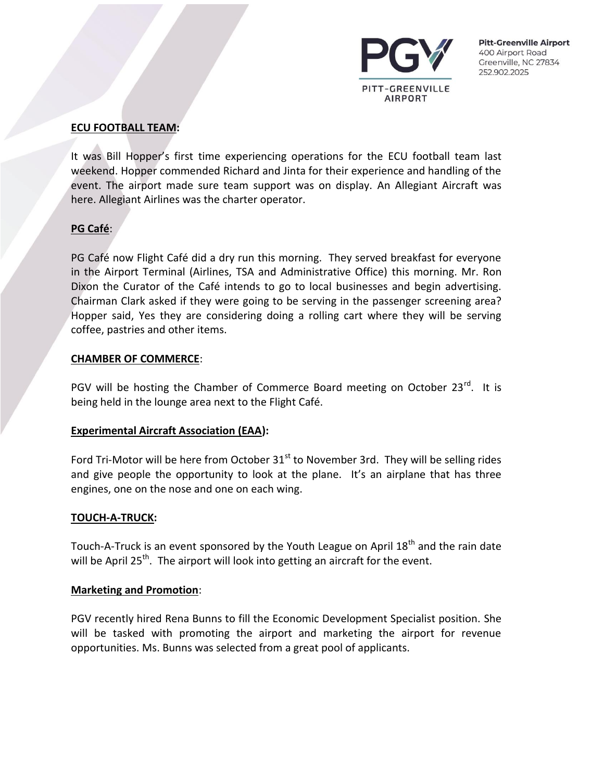

#### **ECU FOOTBALL TEAM:**

It was Bill Hopper's first time experiencing operations for the ECU football team last weekend. Hopper commended Richard and Jinta for their experience and handling of the event. The airport made sure team support was on display. An Allegiant Aircraft was here. Allegiant Airlines was the charter operator.

# **PG Café**:

PG Café now Flight Café did a dry run this morning. They served breakfast for everyone in the Airport Terminal (Airlines, TSA and Administrative Office) this morning. Mr. Ron Dixon the Curator of the Café intends to go to local businesses and begin advertising. Chairman Clark asked if they were going to be serving in the passenger screening area? Hopper said, Yes they are considering doing a rolling cart where they will be serving coffee, pastries and other items.

#### **CHAMBER OF COMMERCE**:

PGV will be hosting the Chamber of Commerce Board meeting on October 23<sup>rd</sup>. It is being held in the lounge area next to the Flight Café.

#### **Experimental Aircraft Association (EAA):**

Ford Tri-Motor will be here from October  $31<sup>st</sup>$  to November 3rd. They will be selling rides and give people the opportunity to look at the plane. It's an airplane that has three engines, one on the nose and one on each wing.

#### **TOUCH-A-TRUCK:**

Touch-A-Truck is an event sponsored by the Youth League on April  $18<sup>th</sup>$  and the rain date will be April 25<sup>th</sup>. The airport will look into getting an aircraft for the event.

#### **Marketing and Promotion**:

PGV recently hired Rena Bunns to fill the Economic Development Specialist position. She will be tasked with promoting the airport and marketing the airport for revenue opportunities. Ms. Bunns was selected from a great pool of applicants.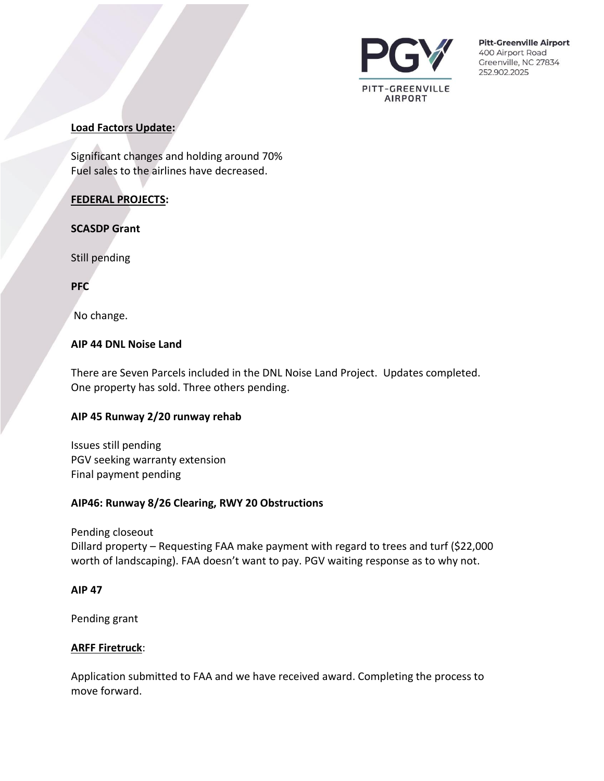

#### **Load Factors Update:**

Significant changes and holding around 70% Fuel sales to the airlines have decreased.

# **FEDERAL PROJECTS:**

#### **SCASDP Grant**

Still pending

**PFC**

No change.

# **AIP 44 DNL Noise Land**

There are Seven Parcels included in the DNL Noise Land Project. Updates completed. One property has sold. Three others pending.

#### **AIP 45 Runway 2/20 runway rehab**

Issues still pending PGV seeking warranty extension Final payment pending

#### **AIP46: Runway 8/26 Clearing, RWY 20 Obstructions**

Pending closeout Dillard property – Requesting FAA make payment with regard to trees and turf (\$22,000 worth of landscaping). FAA doesn't want to pay. PGV waiting response as to why not.

#### **AIP 47**

Pending grant

#### **ARFF Firetruck**:

Application submitted to FAA and we have received award. Completing the process to move forward.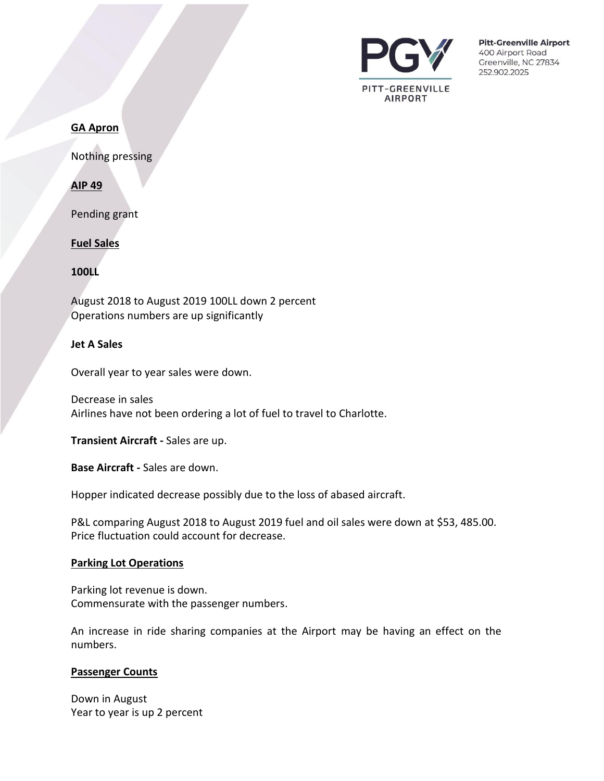

#### **GA Apron**

Nothing pressing

**AIP 49**

Pending grant

#### **Fuel Sales**

**100LL**

August 2018 to August 2019 100LL down 2 percent Operations numbers are up significantly

#### **Jet A Sales**

Overall year to year sales were down.

Decrease in sales Airlines have not been ordering a lot of fuel to travel to Charlotte.

**Transient Aircraft -** Sales are up.

**Base Aircraft -** Sales are down.

Hopper indicated decrease possibly due to the loss of abased aircraft.

P&L comparing August 2018 to August 2019 fuel and oil sales were down at \$53, 485.00. Price fluctuation could account for decrease.

#### **Parking Lot Operations**

Parking lot revenue is down. Commensurate with the passenger numbers.

An increase in ride sharing companies at the Airport may be having an effect on the numbers.

#### **Passenger Counts**

Down in August Year to year is up 2 percent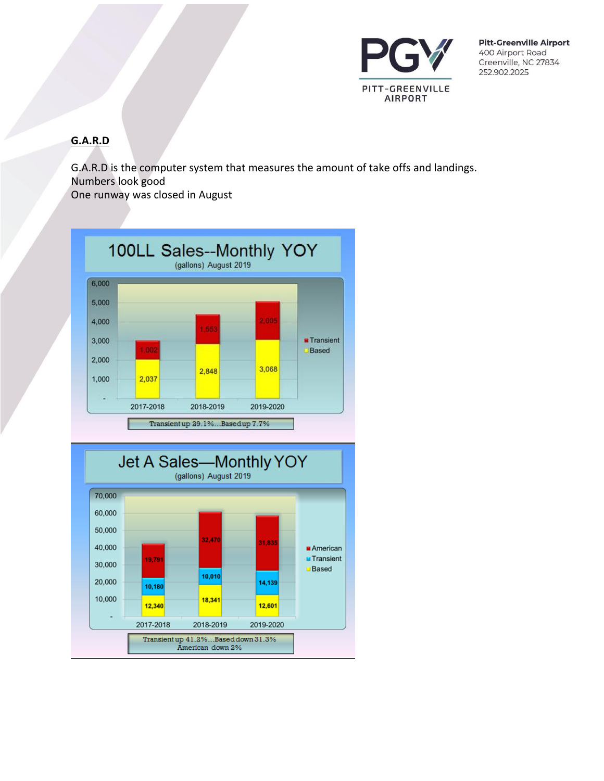

# **G.A.R.D**

G.A.R.D is the computer system that measures the amount of take offs and landings. Numbers look good

One runway was closed in August



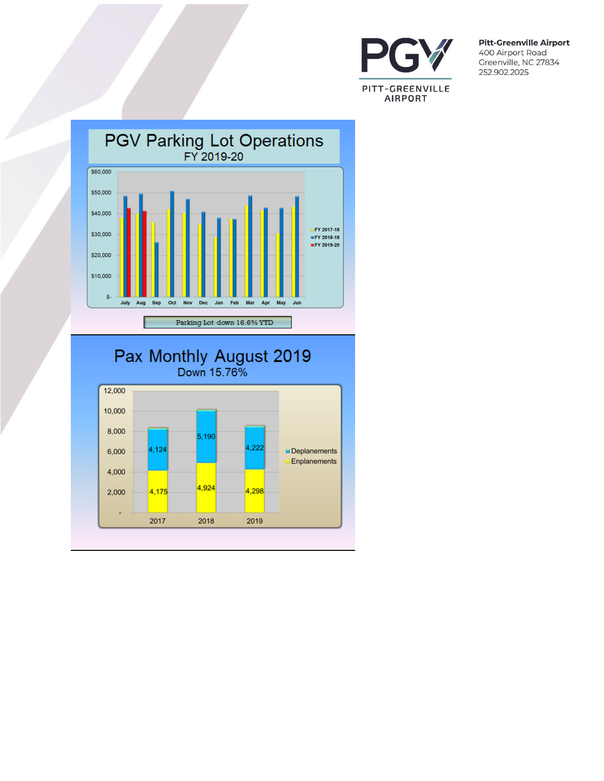



# Pax Monthly August 2019

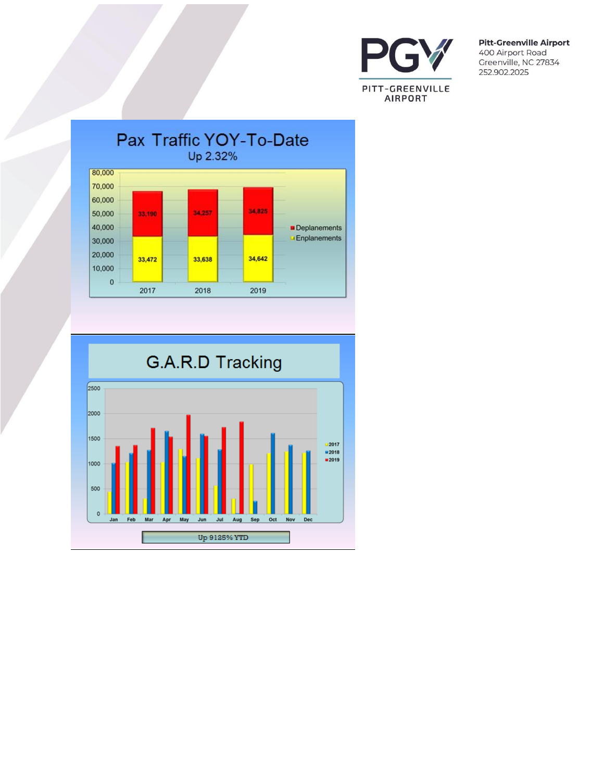



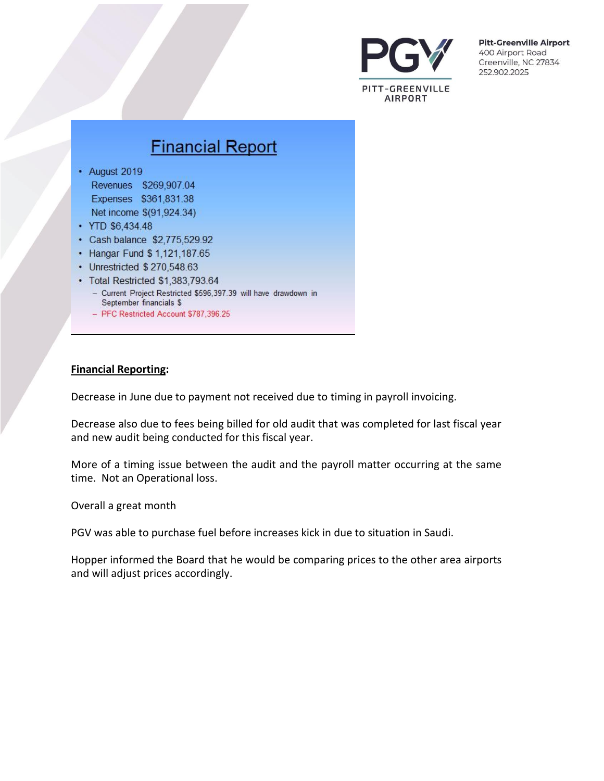

# **Financial Report**

- August 2019 Revenues \$269,907.04 Expenses \$361,831.38 Net income \$(91,924.34)
- YTD \$6,434.48
- Cash balance \$2,775,529.92
- Hangar Fund \$ 1,121,187.65
- Unrestricted \$270,548.63
- Total Restricted \$1,383,793.64
	- Current Project Restricted \$596,397.39 will have drawdown in September financials \$
	- PFC Restricted Account \$787,396.25

#### **Financial Reporting:**

Decrease in June due to payment not received due to timing in payroll invoicing.

Decrease also due to fees being billed for old audit that was completed for last fiscal year and new audit being conducted for this fiscal year.

More of a timing issue between the audit and the payroll matter occurring at the same time. Not an Operational loss.

Overall a great month

PGV was able to purchase fuel before increases kick in due to situation in Saudi.

Hopper informed the Board that he would be comparing prices to the other area airports and will adjust prices accordingly.